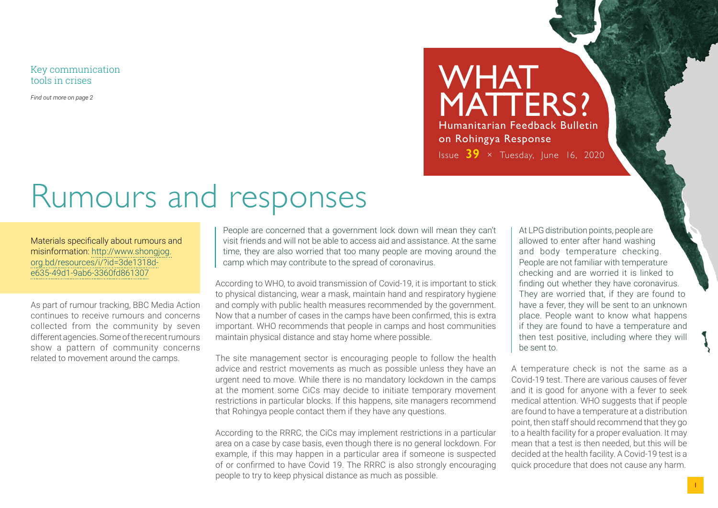Key communication tools in crises

*Find out more on page 2*

# Rumours and responses

#### Materials specifically about rumours and misinformation: [http://www.shongjog.](http://www.shongjog.org.bd/resources/i/?id=3de1318d-e635-49d1-9ab6-3360fd861307) [org.bd/resources/i/?id=3de1318d](http://www.shongjog.org.bd/resources/i/?id=3de1318d-e635-49d1-9ab6-3360fd861307)[e635-49d1-9ab6-3360fd861307](http://www.shongjog.org.bd/resources/i/?id=3de1318d-e635-49d1-9ab6-3360fd861307)

As part of rumour tracking, BBC Media Action continues to receive rumours and concerns collected from the community by seven different agencies. Some of the recent rumours show a pattern of community concerns related to movement around the camps.

People are concerned that a government lock down will mean they can't visit friends and will not be able to access aid and assistance. At the same time, they are also worried that too many people are moving around the camp which may contribute to the spread of coronavirus.

According to WHO, to avoid transmission of Covid-19, it is important to stick to physical distancing, wear a mask, maintain hand and respiratory hygiene and comply with public health measures recommended by the government. Now that a number of cases in the camps have been confirmed, this is extra important. WHO recommends that people in camps and host communities maintain physical distance and stay home where possible.

The site management sector is encouraging people to follow the health advice and restrict movements as much as possible unless they have an urgent need to move. While there is no mandatory lockdown in the camps at the moment some CiCs may decide to initiate temporary movement restrictions in particular blocks. If this happens, site managers recommend that Rohingya people contact them if they have any questions.

According to the RRRC, the CiCs may implement restrictions in a particular area on a case by case basis, even though there is no general lockdown. For example, if this may happen in a particular area if someone is suspected of or confirmed to have Covid 19. The RRRC is also strongly encouraging people to try to keep physical distance as much as possible.

At LPG distribution points, people are allowed to enter after hand washing and body temperature checking. People are not familiar with temperature checking and are worried it is linked to finding out whether they have coronavirus. They are worried that, if they are found to have a fever, they will be sent to an unknown place. People want to know what happens if they are found to have a temperature and then test positive, including where they will be sent to.

WHAT

on Rohingya Response

MATTERS?

Humanitarian Feedback Bulletin

Issue **39** × Tuesday, June 16, 2020

A temperature check is not the same as a Covid-19 test. There are various causes of fever and it is good for anyone with a fever to seek medical attention. WHO suggests that if people are found to have a temperature at a distribution point, then staff should recommend that they go to a health facility for a proper evaluation. It may mean that a test is then needed, but this will be decided at the health facility. A Covid-19 test is a quick procedure that does not cause any harm.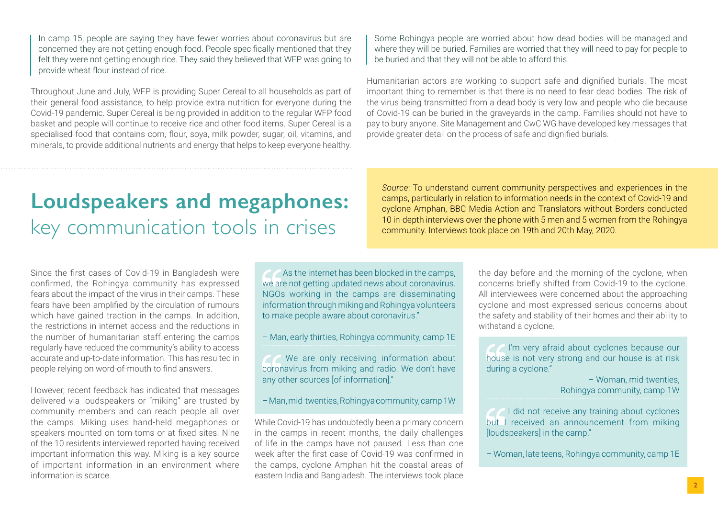In camp 15, people are saying they have fewer worries about coronavirus but are concerned they are not getting enough food. People specifically mentioned that they felt they were not getting enough rice. They said they believed that WFP was going to provide wheat flour instead of rice.

Throughout June and July, WFP is providing Super Cereal to all households as part of their general food assistance, to help provide extra nutrition for everyone during the Covid-19 pandemic. Super Cereal is being provided in addition to the regular WFP food basket and people will continue to receive rice and other food items. Super Cereal is a specialised food that contains corn, flour, soya, milk powder, sugar, oil, vitamins, and minerals, to provide additional nutrients and energy that helps to keep everyone healthy.

Some Rohingya people are worried about how dead bodies will be managed and where they will be buried. Families are worried that they will need to pay for people to be buried and that they will not be able to afford this.

Humanitarian actors are working to support safe and dignified burials. The most important thing to remember is that there is no need to fear dead bodies. The risk of the virus being transmitted from a dead body is very low and people who die because of Covid-19 can be buried in the graveyards in the camp. Families should not have to pay to bury anyone. Site Management and CwC WG have developed key messages that provide greater detail on the process of safe and dignified burials.

## **Loudspeakers and megaphones:** key communication tools in crises

Since the first cases of Covid-19 in Bangladesh were confirmed, the Rohingya community has expressed fears about the impact of the virus in their camps. These fears have been amplified by the circulation of rumours which have gained traction in the camps. In addition, the restrictions in internet access and the reductions in the number of humanitarian staff entering the camps regularly have reduced the community's ability to access accurate and up-to-date information. This has resulted in people relying on word-of-mouth to find answers.

However, recent feedback has indicated that messages delivered via loudspeakers or "miking" are trusted by community members and can reach people all over the camps. Miking uses hand-held megaphones or speakers mounted on tom-toms or at fixed sites. Nine of the 10 residents interviewed reported having received important information this way. Miking is a key source of important information in an environment where information is scarce.

As the internet has been blocked in the camps, we are not getting updated news about coronavirus. NGOs working in the camps are disseminating information through miking and Rohingya volunteers to make people aware about coronavirus."

– Man, early thirties, Rohingya community, camp 1E

We are only receiving information about coronavirus from miking and radio. We don't have any other sources [of information]."

– Man, mid-twenties, Rohingya community, camp 1W

While Covid-19 has undoubtedly been a primary concern in the camps in recent months, the daily challenges of life in the camps have not paused. Less than one week after the first case of Covid-19 was confirmed in the camps, cyclone Amphan hit the coastal areas of eastern India and Bangladesh. The interviews took place

*Source*: To understand current community perspectives and experiences in the camps, particularly in relation to information needs in the context of Covid-19 and cyclone Amphan, BBC Media Action and Translators without Borders conducted 10 in-depth interviews over the phone with 5 men and 5 women from the Rohingya community. Interviews took place on 19th and 20th May, 2020.

> the day before and the morning of the cyclone, when concerns briefly shifted from Covid-19 to the cyclone. All interviewees were concerned about the approaching cyclone and most expressed serious concerns about the safety and stability of their homes and their ability to withstand a cyclone.

 I'm very afraid about cyclones because our house is not very strong and our house is at risk during a cyclone."

– Woman, mid-twenties, Rohingya community, camp 1W

**I did not receive any training about cyclones** but I received an announcement from miking [loudspeakers] in the camp."

– Woman, late teens, Rohingya community, camp 1E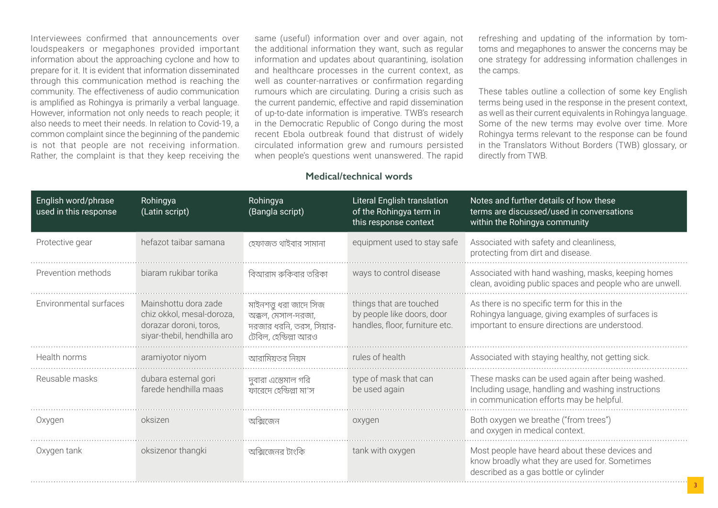Interviewees confirmed that announcements over loudspeakers or megaphones provided important information about the approaching cyclone and how to prepare for it. It is evident that information disseminated through this communication method is reaching the community. The effectiveness of audio communication is amplified as Rohingya is primarily a verbal language. However, information not only needs to reach people; it also needs to meet their needs. In relation to Covid-19, a common complaint since the beginning of the pandemic is not that people are not receiving information. Rather, the complaint is that they keep receiving the same (useful) information over and over again, not the additional information they want, such as regular information and updates about quarantining, isolation and healthcare processes in the current context, as well as counter-narratives or confirmation regarding rumours which are circulating. During a crisis such as the current pandemic, effective and rapid dissemination of up-to-date information is imperative. TWB's research in the Democratic Republic of Congo during the most recent Ebola outbreak found that distrust of widely circulated information grew and rumours persisted when people's questions went unanswered. The rapid refreshing and updating of the information by tomtoms and megaphones to answer the concerns may be one strategy for addressing information challenges in the camps.

These tables outline a collection of some key English terms being used in the response in the present context, as well as their current equivalents in Rohingya language. Some of the new terms may evolve over time. More Rohingya terms relevant to the response can be found in the Translators Without Borders (TWB) glossary, or directly from TWB.

#### **Medical/technical words**

| English word/phrase<br>used in this response | Rohingya<br>(Latin script)                                                                                 | Rohingya<br>(Bangla script)                                                                       | Literal English translation<br>of the Rohingya term in<br>this response context         | Notes and further details of how these<br>terms are discussed/used in conversations<br>within the Rohingya community                                |
|----------------------------------------------|------------------------------------------------------------------------------------------------------------|---------------------------------------------------------------------------------------------------|-----------------------------------------------------------------------------------------|-----------------------------------------------------------------------------------------------------------------------------------------------------|
| Protective gear                              | hefazot taibar samana                                                                                      | হেফাজত থাইবার সামানা                                                                              | equipment used to stay safe                                                             | Associated with safety and cleanliness,<br>protecting from dirt and disease.                                                                        |
| Prevention methods                           | biaram rukibar torika                                                                                      | বিআরাম রুকিবার তরিকা                                                                              | ways to control disease                                                                 | Associated with hand washing, masks, keeping homes<br>clean, avoiding public spaces and people who are unwell.                                      |
| Environmental surfaces                       | Mainshottu dora zade<br>chiz okkol, mesal-doroza,<br>dorazar doroni, toros,<br>siyar-thebil, hendhilla aro | মাইনশত্তু ধরা জাদে সিজ<br>অক্কল, মেসাল-দরজা,<br>দরজার ধরনি, তরস, সিয়ার-<br>টেবিল, হেন্ডিল্লা আরও | things that are touched<br>by people like doors, door<br>handles, floor, furniture etc. | As there is no specific term for this in the<br>Rohingya language, giving examples of surfaces is<br>important to ensure directions are understood. |
| Health norms                                 | aramiyotor niyom                                                                                           | আরামিয়তর নিয়ম                                                                                   | rules of health                                                                         | Associated with staying healthy, not getting sick.                                                                                                  |
| Reusable masks                               | dubara estemal gori<br>farede hendhilla maas                                                               | দুবারা এস্তেমাল গরি<br>ফারেদে হেন্ডিল্লা মা'স                                                     | type of mask that can<br>be used again                                                  | These masks can be used again after being washed.<br>Including usage, handling and washing instructions<br>in communication efforts may be helpful. |
| Oxygen                                       | oksizen                                                                                                    | অক্সিজেন                                                                                          | oxygen                                                                                  | Both oxygen we breathe ("from trees")<br>and oxygen in medical context.                                                                             |
| Oxygen tank                                  | oksizenor thangki                                                                                          | অক্সিজেনর টাংকি                                                                                   | tank with oxygen                                                                        | Most people have heard about these devices and<br>know broadly what they are used for. Sometimes<br>described as a gas bottle or cylinder           |